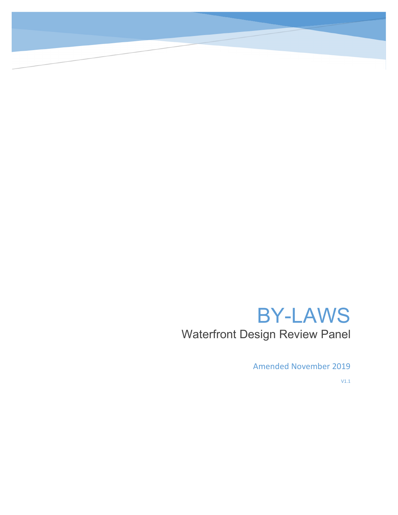# BY-LAWS Waterfront Design Review Panel

Amended November 2019

V1.1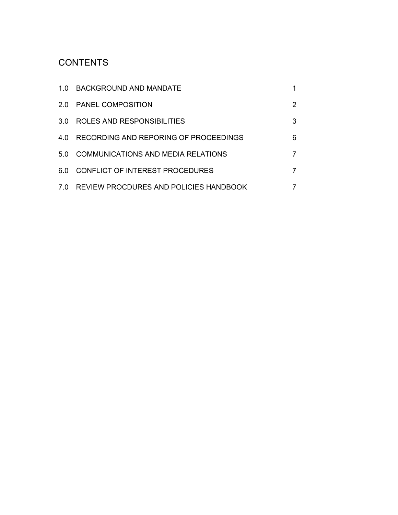# **CONTENTS**

| 1.0 BACKGROUND AND MANDATE                 |   |
|--------------------------------------------|---|
| 2.0 PANEL COMPOSITION                      | 2 |
| 3.0 ROLES AND RESPONSIBILITIES             | 3 |
| 4.0 RECORDING AND REPORING OF PROCEEDINGS  | 6 |
| 5.0 COMMUNICATIONS AND MEDIA RELATIONS     |   |
| 6.0 CONFLICT OF INTEREST PROCEDURES        |   |
| 7.0 REVIEW PROCDURES AND POLICIES HANDBOOK |   |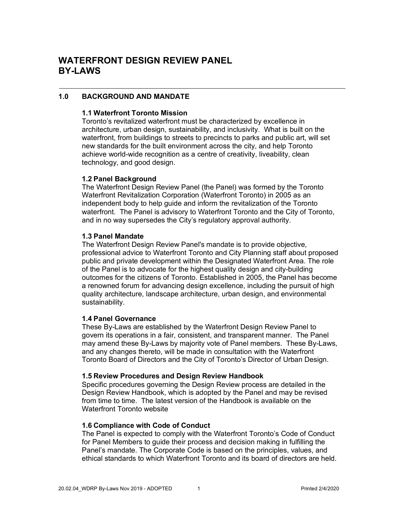# **1.0 BACKGROUND AND MANDATE**

#### **1.1 Waterfront Toronto Mission**

Toronto's revitalized waterfront must be characterized by excellence in architecture, urban design, sustainability, and inclusivity. What is built on the waterfront, from buildings to streets to precincts to parks and public art, will set new standards for the built environment across the city, and help Toronto achieve world-wide recognition as a centre of creativity, liveability, clean technology, and good design.

#### **1.2 Panel Background**

The Waterfront Design Review Panel (the Panel) was formed by the Toronto Waterfront Revitalization Corporation (Waterfront Toronto) in 2005 as an independent body to help guide and inform the revitalization of the Toronto waterfront. The Panel is advisory to Waterfront Toronto and the City of Toronto, and in no way supersedes the City's regulatory approval authority.

#### **1.3 Panel Mandate**

The Waterfront Design Review Panel's mandate is to provide objective, professional advice to Waterfront Toronto and City Planning staff about proposed public and private development within the Designated Waterfront Area. The role of the Panel is to advocate for the highest quality design and city-building outcomes for the citizens of Toronto. Established in 2005, the Panel has become a renowned forum for advancing design excellence, including the pursuit of high quality architecture, landscape architecture, urban design, and environmental sustainability.

#### **1.4 Panel Governance**

These By-Laws are established by the Waterfront Design Review Panel to govern its operations in a fair, consistent, and transparent manner. The Panel may amend these By-Laws by majority vote of Panel members. These By-Laws, and any changes thereto, will be made in consultation with the Waterfront Toronto Board of Directors and the City of Toronto's Director of Urban Design.

#### **1.5 Review Procedures and Design Review Handbook**

Specific procedures governing the Design Review process are detailed in the Design Review Handbook, which is adopted by the Panel and may be revised from time to time. The latest version of the Handbook is available on the Waterfront Toronto website

#### **1.6 Compliance with Code of Conduct**

The Panel is expected to comply with the Waterfront Toronto's Code of Conduct for Panel Members to guide their process and decision making in fulfilling the Panel's mandate. The Corporate Code is based on the principles, values, and ethical standards to which Waterfront Toronto and its board of directors are held.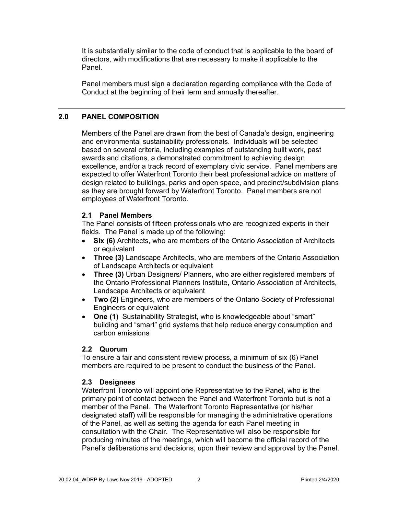It is substantially similar to the code of conduct that is applicable to the board of directors, with modifications that are necessary to make it applicable to the Panel.

Panel members must sign a declaration regarding compliance with the Code of Conduct at the beginning of their term and annually thereafter.

# **2.0 PANEL COMPOSITION**

Members of the Panel are drawn from the best of Canada's design, engineering and environmental sustainability professionals. Individuals will be selected based on several criteria, including examples of outstanding built work, past awards and citations, a demonstrated commitment to achieving design excellence, and/or a track record of exemplary civic service. Panel members are expected to offer Waterfront Toronto their best professional advice on matters of design related to buildings, parks and open space, and precinct/subdivision plans as they are brought forward by Waterfront Toronto. Panel members are not employees of Waterfront Toronto.

#### **2.1 Panel Members**

The Panel consists of fifteen professionals who are recognized experts in their fields. The Panel is made up of the following:

- **Six (6)** Architects, who are members of the Ontario Association of Architects or equivalent
- **Three (3)** Landscape Architects, who are members of the Ontario Association of Landscape Architects or equivalent
- **Three (3)** Urban Designers/ Planners, who are either registered members of the Ontario Professional Planners Institute, Ontario Association of Architects, Landscape Architects or equivalent
- **Two (2)** Engineers, who are members of the Ontario Society of Professional Engineers or equivalent
- **One (1)** Sustainability Strategist, who is knowledgeable about "smart" building and "smart" grid systems that help reduce energy consumption and carbon emissions

#### **2.2 Quorum**

To ensure a fair and consistent review process, a minimum of six (6) Panel members are required to be present to conduct the business of the Panel.

#### **2.3 Designees**

Waterfront Toronto will appoint one Representative to the Panel, who is the primary point of contact between the Panel and Waterfront Toronto but is not a member of the Panel. The Waterfront Toronto Representative (or his/her designated staff) will be responsible for managing the administrative operations of the Panel, as well as setting the agenda for each Panel meeting in consultation with the Chair. The Representative will also be responsible for producing minutes of the meetings, which will become the official record of the Panel's deliberations and decisions, upon their review and approval by the Panel.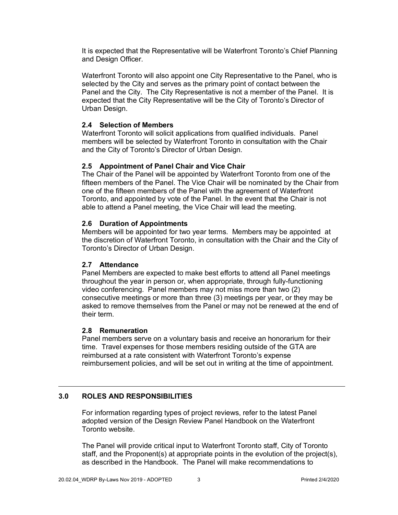It is expected that the Representative will be Waterfront Toronto's Chief Planning and Design Officer.

Waterfront Toronto will also appoint one City Representative to the Panel, who is selected by the City and serves as the primary point of contact between the Panel and the City. The City Representative is not a member of the Panel. It is expected that the City Representative will be the City of Toronto's Director of Urban Design.

# **2.4 Selection of Members**

Waterfront Toronto will solicit applications from qualified individuals. Panel members will be selected by Waterfront Toronto in consultation with the Chair and the City of Toronto's Director of Urban Design.

# **2.5 Appointment of Panel Chair and Vice Chair**

The Chair of the Panel will be appointed by Waterfront Toronto from one of the fifteen members of the Panel. The Vice Chair will be nominated by the Chair from one of the fifteen members of the Panel with the agreement of Waterfront Toronto, and appointed by vote of the Panel. In the event that the Chair is not able to attend a Panel meeting, the Vice Chair will lead the meeting.

# **2.6 Duration of Appointments**

Members will be appointed for two year terms. Members may be appointed at the discretion of Waterfront Toronto, in consultation with the Chair and the City of Toronto's Director of Urban Design.

#### **2.7 Attendance**

Panel Members are expected to make best efforts to attend all Panel meetings throughout the year in person or, when appropriate, through fully-functioning video conferencing. Panel members may not miss more than two (2) consecutive meetings or more than three (3) meetings per year, or they may be asked to remove themselves from the Panel or may not be renewed at the end of their term.

#### **2.8 Remuneration**

Panel members serve on a voluntary basis and receive an honorarium for their time. Travel expenses for those members residing outside of the GTA are reimbursed at a rate consistent with Waterfront Toronto's expense reimbursement policies, and will be set out in writing at the time of appointment.

# **3.0 ROLES AND RESPONSIBILITIES**

For information regarding types of project reviews, refer to the latest Panel adopted version of the Design Review Panel Handbook on the Waterfront Toronto website.

The Panel will provide critical input to Waterfront Toronto staff, City of Toronto staff, and the Proponent(s) at appropriate points in the evolution of the project(s), as described in the Handbook. The Panel will make recommendations to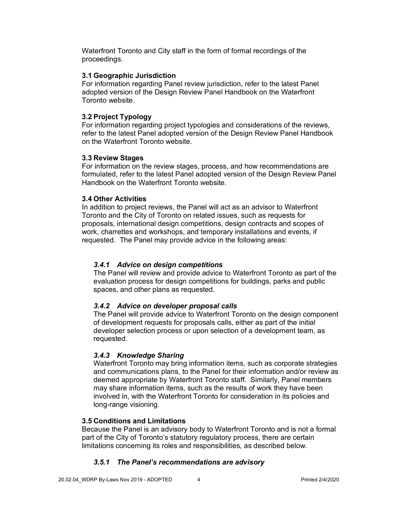Waterfront Toronto and City staff in the form of formal recordings of the proceedings.

#### **3.1 Geographic Jurisdiction**

For information regarding Panel review jurisdiction, refer to the latest Panel adopted version of the Design Review Panel Handbook on the Waterfront Toronto website.

# **3.2 Project Typology**

For information regarding project typologies and considerations of the reviews, refer to the latest Panel adopted version of the Design Review Panel Handbook on the Waterfront Toronto website.

#### **3.3 Review Stages**

For information on the review stages, process, and how recommendations are formulated, refer to the latest Panel adopted version of the Design Review Panel Handbook on the Waterfront Toronto website.

#### **3.4 Other Activities**

In addition to project reviews, the Panel will act as an advisor to Waterfront Toronto and the City of Toronto on related issues, such as requests for proposals, international design competitions, design contracts and scopes of work, charrettes and workshops, and temporary installations and events, if requested. The Panel may provide advice in the following areas:

# *3.4.1 Advice on design competitions*

The Panel will review and provide advice to Waterfront Toronto as part of the evaluation process for design competitions for buildings, parks and public spaces, and other plans as requested.

#### *3.4.2 Advice on developer proposal calls*

The Panel will provide advice to Waterfront Toronto on the design component of development requests for proposals calls, either as part of the initial developer selection process or upon selection of a development team, as requested.

# *3.4.3 Knowledge Sharing*

Waterfront Toronto may bring information items, such as corporate strategies and communications plans, to the Panel for their information and/or review as deemed appropriate by Waterfront Toronto staff. Similarly, Panel members may share information items, such as the results of work they have been involved in, with the Waterfront Toronto for consideration in its policies and long-range visioning.

#### **3.5 Conditions and Limitations**

Because the Panel is an advisory body to Waterfront Toronto and is not a formal part of the City of Toronto's statutory regulatory process, there are certain limitations concerning its roles and responsibilities, as described below.

# *3.5.1 The Panel's recommendations are advisory*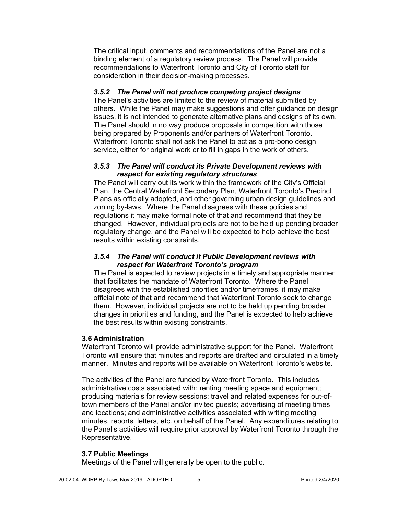The critical input, comments and recommendations of the Panel are not a binding element of a regulatory review process. The Panel will provide recommendations to Waterfront Toronto and City of Toronto staff for consideration in their decision-making processes.

#### *3.5.2 The Panel will not produce competing project designs*

The Panel's activities are limited to the review of material submitted by others. While the Panel may make suggestions and offer guidance on design issues, it is not intended to generate alternative plans and designs of its own. The Panel should in no way produce proposals in competition with those being prepared by Proponents and/or partners of Waterfront Toronto. Waterfront Toronto shall not ask the Panel to act as a pro-bono design service, either for original work or to fill in gaps in the work of others.

#### *3.5.3 The Panel will conduct its Private Development reviews with respect for existing regulatory structures*

The Panel will carry out its work within the framework of the City's Official Plan, the Central Waterfront Secondary Plan, Waterfront Toronto's Precinct Plans as officially adopted, and other governing urban design guidelines and zoning by-laws. Where the Panel disagrees with these policies and regulations it may make formal note of that and recommend that they be changed. However, individual projects are not to be held up pending broader regulatory change, and the Panel will be expected to help achieve the best results within existing constraints.

#### *3.5.4 The Panel will conduct it Public Development reviews with respect for Waterfront Toronto's program*

The Panel is expected to review projects in a timely and appropriate manner that facilitates the mandate of Waterfront Toronto. Where the Panel disagrees with the established priorities and/or timeframes, it may make official note of that and recommend that Waterfront Toronto seek to change them. However, individual projects are not to be held up pending broader changes in priorities and funding, and the Panel is expected to help achieve the best results within existing constraints.

#### **3.6 Administration**

Waterfront Toronto will provide administrative support for the Panel. Waterfront Toronto will ensure that minutes and reports are drafted and circulated in a timely manner. Minutes and reports will be available on Waterfront Toronto's website.

The activities of the Panel are funded by Waterfront Toronto. This includes administrative costs associated with: renting meeting space and equipment; producing materials for review sessions; travel and related expenses for out-oftown members of the Panel and/or invited guests; advertising of meeting times and locations; and administrative activities associated with writing meeting minutes, reports, letters, etc. on behalf of the Panel. Any expenditures relating to the Panel's activities will require prior approval by Waterfront Toronto through the Representative.

#### **3.7 Public Meetings**

Meetings of the Panel will generally be open to the public.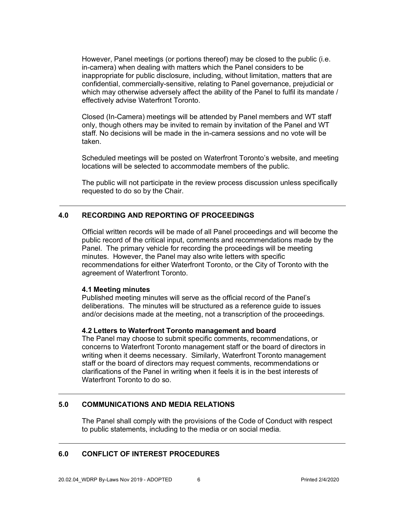However, Panel meetings (or portions thereof) may be closed to the public (i.e. in-camera) when dealing with matters which the Panel considers to be inappropriate for public disclosure, including, without limitation, matters that are confidential, commercially-sensitive, relating to Panel governance, prejudicial or which may otherwise adversely affect the ability of the Panel to fulfil its mandate / effectively advise Waterfront Toronto.

Closed (In-Camera) meetings will be attended by Panel members and WT staff only, though others may be invited to remain by invitation of the Panel and WT staff. No decisions will be made in the in-camera sessions and no vote will be taken.

Scheduled meetings will be posted on Waterfront Toronto's website, and meeting locations will be selected to accommodate members of the public.

The public will not participate in the review process discussion unless specifically requested to do so by the Chair.

# **4.0 RECORDING AND REPORTING OF PROCEEDINGS**

Official written records will be made of all Panel proceedings and will become the public record of the critical input, comments and recommendations made by the Panel. The primary vehicle for recording the proceedings will be meeting minutes. However, the Panel may also write letters with specific recommendations for either Waterfront Toronto, or the City of Toronto with the agreement of Waterfront Toronto.

#### **4.1 Meeting minutes**

Published meeting minutes will serve as the official record of the Panel's deliberations. The minutes will be structured as a reference guide to issues and/or decisions made at the meeting, not a transcription of the proceedings.

#### **4.2 Letters to Waterfront Toronto management and board**

The Panel may choose to submit specific comments, recommendations, or concerns to Waterfront Toronto management staff or the board of directors in writing when it deems necessary. Similarly, Waterfront Toronto management staff or the board of directors may request comments, recommendations or clarifications of the Panel in writing when it feels it is in the best interests of Waterfront Toronto to do so.

#### **5.0 COMMUNICATIONS AND MEDIA RELATIONS**

The Panel shall comply with the provisions of the Code of Conduct with respect to public statements, including to the media or on social media.

#### **6.0 CONFLICT OF INTEREST PROCEDURES**